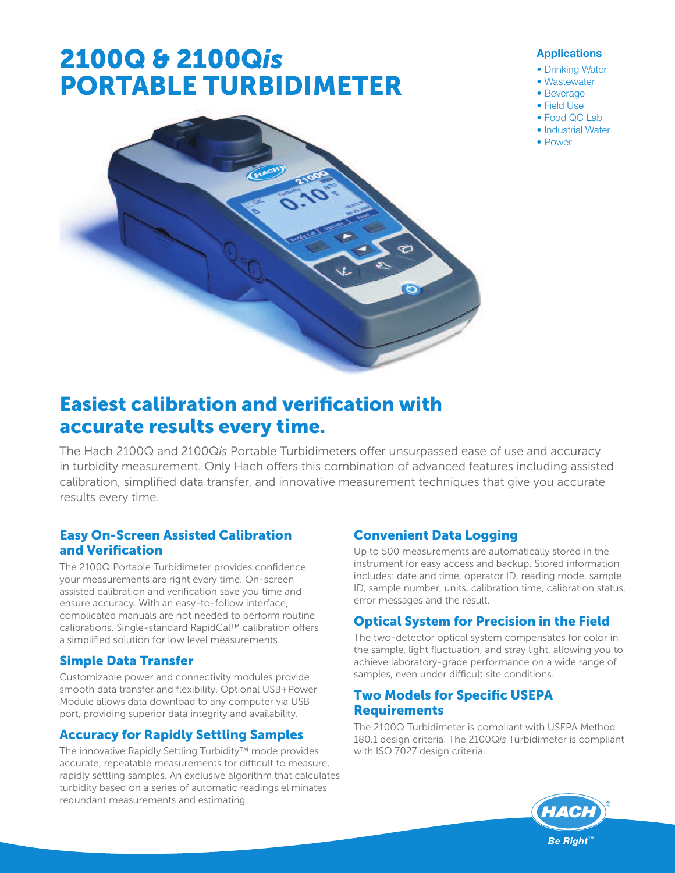# 2100Q & 2100Q*is* PORTABLE TURBIDIMETER

### **Applications**

- Drinking Water
- Wastewater
- Beverage
- Field Use • Food QC Lab
- 
- Industrial Water
- Power



# Easiest calibration and verification with accurate results every time.

The Hach 2100Q and 2100Qis Portable Turbidimeters offer unsurpassed ease of use and accuracy in turbidity measurement. Only Hach offers this combination of advanced features including assisted calibration, simplified data transfer, and innovative measurement techniques that give you accurate results every time.

# Easy On-Screen Assisted Calibration and Verification

The 2100Q Portable Turbidimeter provides confidence your measurements are right every time. On-screen assisted calibration and verification save you time and ensure accuracy. With an easy-to-follow interface, complicated manuals are not needed to perform routine calibrations. Single-standard RapidCal™ calibration offers a simplified solution for low level measurements.

# Simple Data Transfer

Customizable power and connectivity modules provide smooth data transfer and flexibility. Optional USB+Power Module allows data download to any computer via USB port, providing superior data integrity and availability.

# Accuracy for Rapidly Settling Samples

The innovative Rapidly Settling Turbidity™ mode provides accurate, repeatable measurements for difficult to measure, rapidly settling samples. An exclusive algorithm that calculates turbidity based on a series of automatic readings eliminates redundant measurements and estimating.

# Convenient Data Logging

Up to 500 measurements are automatically stored in the instrument for easy access and backup. Stored information includes: date and time, operator ID, reading mode, sample ID, sample number, units, calibration time, calibration status, error messages and the result.

# Optical System for Precision in the Field

The two-detector optical system compensates for color in the sample, light fluctuation, and stray light, allowing you to achieve laboratory-grade performance on a wide range of samples, even under difficult site conditions.

# Two Models for Specific USEPA **Requirements**

The 2100Q Turbidimeter is compliant with USEPA Method 180.1 design criteria. The 2100Q*is* Turbidimeter is compliant with ISO 7027 design criteria.

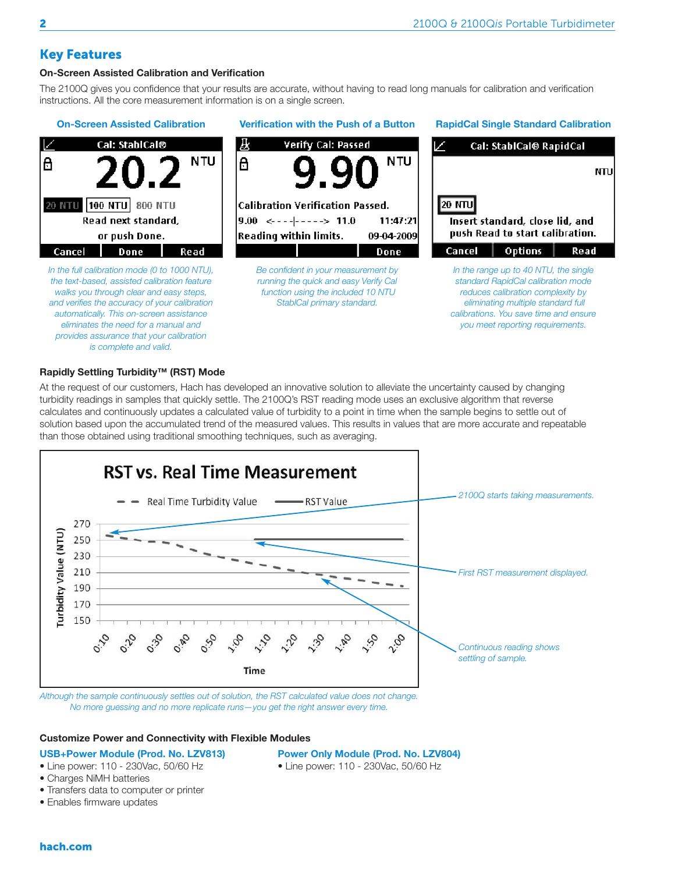NTU

Read

### Key Features

### **On-Screen Assisted Calibration and Verification**

The 2100Q gives you confidence that your results are accurate, without having to read long manuals for calibration and verification instructions. All the core measurement information is on a single screen.

### **On-Screen Assisted Calibration Verification with the Push of a Button RapidCal Single Standard Calibration** Cal: StablCal® IЖ Verify Cal: Passed Cal: StablCal® RapidCal N TU **NTU** 8 8 20 NTU 100 NTU 800 NTU **Calibration Verification Passed. 20 NTU** Read next standard.  $9.00 \le - - - - - - - \ge 11.0$ 11:47:21 Insert standard, close lid, and push Read to start calibration. **Reading within limits.** 09-04-2009 or push Done. Cancel Done Done Cancel | Options | Read *In the full calibration mode (0 to 1000 NTU), Be confident in your measurement by In the range up to 40 NTU, the single running the quick and easy Verify Cal the text-based, assisted calibration feature standard RapidCal calibration mode walks you through clear and easy steps, function using the included 10 NTU reduces calibration complexity by and verifies the accuracy of your calibration StablCal primary standard. eliminating multiple standard full automatically. This on-screen assistance calibrations. You save time and ensure eliminates the need for a manual and you meet reporting requirements. provides assurance that your calibration is complete and valid.*

### **Rapidly Settling Turbidity™ (RST) Mode**

At the request of our customers, Hach has developed an innovative solution to alleviate the uncertainty caused by changing turbidity readings in samples that quickly settle. The 2100Q's RST reading mode uses an exclusive algorithm that reverse calculates and continuously updates a calculated value of turbidity to a point in time when the sample begins to settle out of solution based upon the accumulated trend of the measured values. This results in values that are more accurate and repeatable than those obtained using traditional smoothing techniques, such as averaging.



*Although the sample continuously settles out of solution, the RST calculated value does not change. No more guessing and no more replicate runs—you get the right answer every time.*

### **Customize Power and Connectivity with Flexible Modules**

**USB+Power Module (Prod. No. LZV813) Power Only Module (Prod. No. LZV804)**

- Line power: 110 230Vac, 50/60 Hz Line power: 110 230Vac, 50/60 Hz
- Charges NiMH batteries
- Transfers data to computer or printer
- Enables firmware updates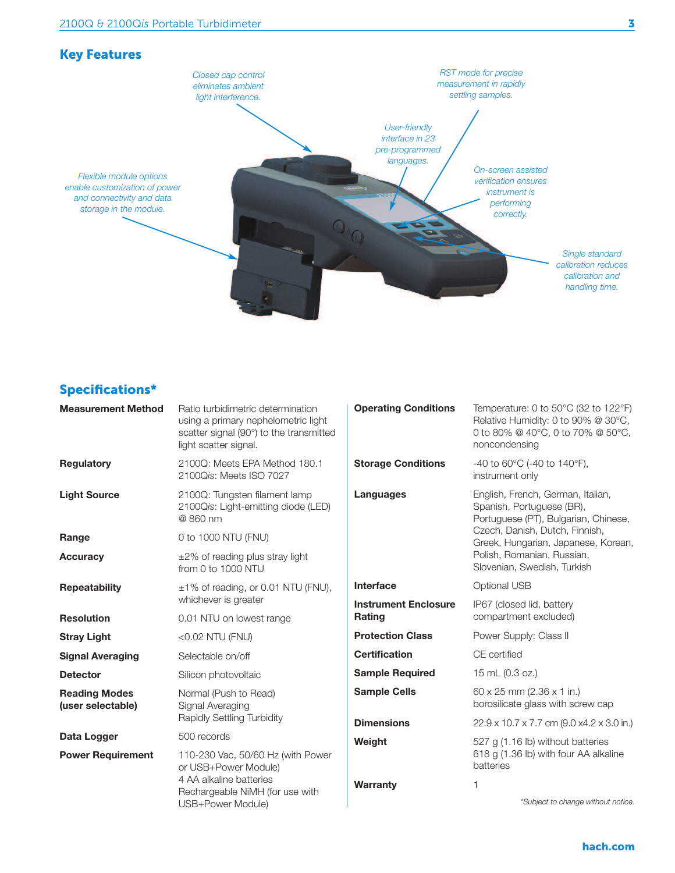

# Specifications\*

| Ratio turbidimetric determination<br>using a primary nephelometric light<br>scatter signal (90°) to the transmitted<br>light scatter signal. | <b>Operating Conditions</b>                  | Temperature: 0 to 50°C (32 to 122°F)<br>Relative Humidity: 0 to 90% @ 30°C,<br>0 to 80% @ 40°C, 0 to 70% @ 50°C,<br>noncondensing                                                                                                            |
|----------------------------------------------------------------------------------------------------------------------------------------------|----------------------------------------------|----------------------------------------------------------------------------------------------------------------------------------------------------------------------------------------------------------------------------------------------|
| 2100Q: Meets EPA Method 180.1<br>2100Qis: Meets ISO 7027                                                                                     | <b>Storage Conditions</b>                    | -40 to 60 $^{\circ}$ C (-40 to 140 $^{\circ}$ F),<br>instrument only                                                                                                                                                                         |
| 2100Q: Tungsten filament lamp<br>2100Qis: Light-emitting diode (LED)<br>@ 860 nm                                                             | Languages                                    | English, French, German, Italian,<br>Spanish, Portuguese (BR),<br>Portuguese (PT), Bulgarian, Chinese,<br>Czech, Danish, Dutch, Finnish,<br>Greek, Hungarian, Japanese, Korean,<br>Polish, Romanian, Russian,<br>Slovenian, Swedish, Turkish |
| 0 to 1000 NTU (FNU)                                                                                                                          |                                              |                                                                                                                                                                                                                                              |
| $\pm 2\%$ of reading plus stray light<br>from 0 to 1000 NTU                                                                                  |                                              |                                                                                                                                                                                                                                              |
| ±1% of reading, or 0.01 NTU (FNU),                                                                                                           | Interface                                    | Optional USB                                                                                                                                                                                                                                 |
| 0.01 NTU on lowest range                                                                                                                     | <b>Instrument Enclosure</b><br><b>Rating</b> | IP67 (closed lid, battery<br>compartment excluded)                                                                                                                                                                                           |
| <0.02 NTU (FNU)                                                                                                                              | <b>Protection Class</b>                      | Power Supply: Class II                                                                                                                                                                                                                       |
| Selectable on/off                                                                                                                            | <b>Certification</b>                         | CE certified                                                                                                                                                                                                                                 |
| Silicon photovoltaic                                                                                                                         | <b>Sample Required</b>                       | 15 mL (0.3 oz.)                                                                                                                                                                                                                              |
| Normal (Push to Read)<br>Signal Averaging<br>Rapidly Settling Turbidity                                                                      | <b>Sample Cells</b>                          | $60 \times 25$ mm (2.36 $\times$ 1 in.)<br>borosilicate glass with screw cap                                                                                                                                                                 |
|                                                                                                                                              | <b>Dimensions</b>                            | 22.9 x 10.7 x 7.7 cm (9.0 x4.2 x 3.0 in.)                                                                                                                                                                                                    |
|                                                                                                                                              | Weight                                       | 527 g (1.16 lb) without batteries<br>618 g (1.36 lb) with four AA alkaline<br>batteries                                                                                                                                                      |
| 110-230 Vac, 50/60 Hz (with Power<br>or USB+Power Module)<br>4 AA alkaline batteries<br>Rechargeable NiMH (for use with<br>USB+Power Module) |                                              |                                                                                                                                                                                                                                              |
|                                                                                                                                              | Warranty                                     | 1<br>*Subject to change without notice.                                                                                                                                                                                                      |
|                                                                                                                                              | whichever is greater<br>500 records          |                                                                                                                                                                                                                                              |